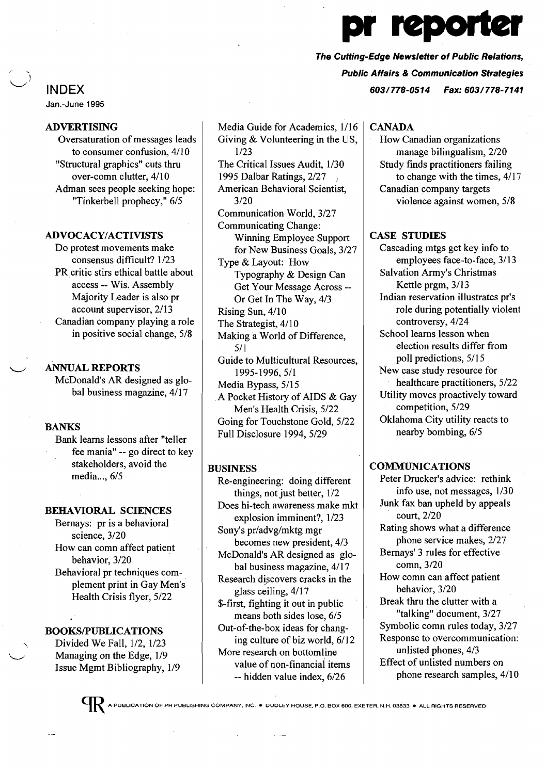# INDEX

Jan.-June 1995

# ADVERTISING

Oversaturation of messages leads to consumer confusion, 4/10 "Structural graphics" cuts thru over-comn clutter, 4/10 Adman sees people seeking hope: "Tinkerbell prophecy," 6/5

#### ADVOCACY/ACTIVISTS

Do protest movements make consensus difficult? 1/23 PR critic stirs ethical battle about access -- Wis. Assembly Majority Leader is also pr account supervisor, 2/13 Canadian company playing a role in positive social change, 5/8

# ANNUAL REPORTS

McDonald's AR designed as global business magazine, 4/17

# **BANKS**

Bank learns lessons after "teller fee mania" -- go direct to key stakeholders, avoid the media..., 6/5

#### BEHAVIORAL SCIENCES

Bernays: pr is a behavioral science, 3/20 How can comn affect patient behavior, 3/20 Behavioral pr techniques com- . plement print in Gay Men's Health Crisis flyer, 5/22

# BOOKSIPUBLICATIONS

Divided We Fall, 1/2, 1/23 Managing on the Edge, 1/9 Issue Mgmt Bibliography, 1/9

Media Guide for Academics, 1/16 Giving & Volunteering in the US, 1/23 The Critical Issues Audit, 1/30 1995 Dalbar Ratings, 2/27 <sup>f</sup> American Behavioral Scientist, 3/20 Communication World, 3/27 Communicating Change: Winning Employee Support for New Business Goals, 3/27 Type & Layout: How Typography & Design Can Get Your Message Across - Or Get In The Way, 4/3 Rising Sun, 4/10 The Strategist, 4/10 Making aWorld of Difference, 5/1 Guide to Multicultural Resources, 1995-1996, 5/1 Media Bypass, 5/15 A Pocket History of AIDS & Gay Men's Health Crisis, 5/22 Going for Touchstone Gold, 5/22 Full Disclosure 1994,5/29

#### BUSINESS

Re-engineering: doing different things, not just better, 1/2 Does hi-tech awareness make mkt explosion imminent?, 1/23 Sony's pr/advg/mktg mgr becomes new president, 4/3 McDonald's AR designed as global business magazine, 4/17 Research discovers cracks in the glass ceiling, 4/17 \$-first, fighting it out in public means both sides lose, 6/5 Out-of-the-box ideas for changing culture of biz world, 6/12 More research on bottomline value of non-financiai items -- hidden value index, 6/26

#### **CANADA**

How Canadian organizations manage bilingualism, 2/20 Study finds practitioners failing to change with the times, 4/17 Canadian company targets violence against women, 5/8

#### CASE STUDIES

Cascading mtgs get key info to employees face-to-face, 3/13 Salvation Army's Christmas Kettle prgm, 3/13 Indian reservation illustrates pr's role during potentially violent controversy, 4/24 School learns lesson when election results differ from poll predictions, 5/15 New case study resource for healthcare practitioners, 5/22 Utility moves proactively toward competition, 5/29 Oklahoma City utility reacts to nearby bombing, 6/5

### COMMUNICATIONS

Peter Drucker's advice: rethink info use, not messages, 1/30 Junk fax ban upheld by appeals court, 2/20 Rating shows what a difference phone service makes, 2/27 Bernays' 3 rules for effective comn, 3/20 How comn can affect patient behavior, 3/20 Break thru the clutter with a "talking" document, 3/27 Symbolic comn rules today, 3/27 Response to overcommunication: unlisted phones, 4/3 Effect of unlisted numbers on phone research samples, 4/10



pr reportei

Public Affairs & Communication Strategies

603/778-0514 Fax: 603/778-7141

The Cutting-Edge Newsletter of Public Relations,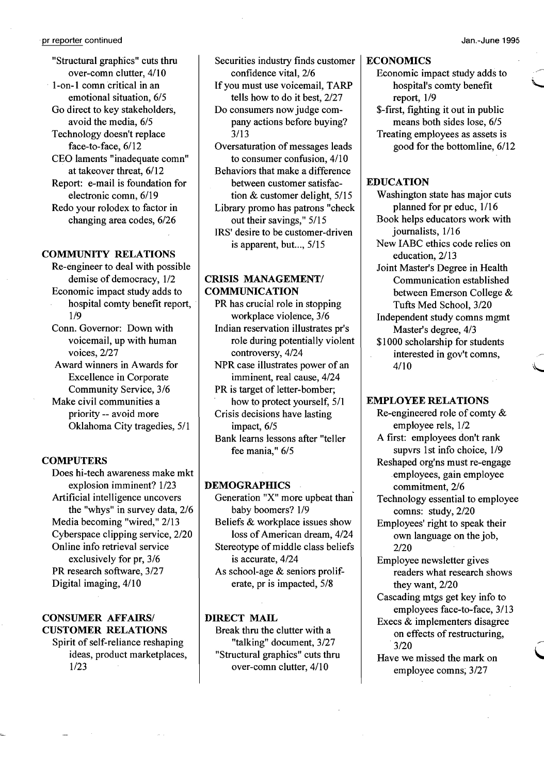"Structural graphics" cuts thru over-comn clutter, 4/10 l-on-l comn critical in an emotional situation, 6/5 Go direct to key stakeholders, avoid the media, 6/5 Technology doesn't replace face-to-face, 6/12 CEO laments "inadequate comn" at takeover threat, 6/12 Report: e-mail is foundation for electronic comn, 6/19 Redo your rolodex to factor in changing area codes, 6/26

#### COMMUNITY RELATIONS

Re-engineer to deal with possible demise of democracy, 1/2 Economic impact study adds to hospital comty benefit report, 1/9

Conn. Governor: Down with voicemail, up with human voices, 2/27

Award winners in Awards for Excellence in Corporate Community Service, 3/6

Make civil communities a priority -- avoid more Oklahoma City tragedies, 5/1

#### **COMPUTERS**

Does hi-tech awareness make mkt explosion imminent? 1/23 Artificial intelligence uncovers the "whys" in survey data, 2/6 Media becoming "wired," 2/13 Cyberspace clipping service, 2/20 Online info retrieval service exclusively for pr, 3/6 PR research software, 3/27 Digital imaging, 4/10

# CONSUMER AFFAIRS/ CUSTOMER RELATIONS

Spirit of self-reliance reshaping ideas, product marketplaces, 1/23

Securities industry finds customer confidence vital, 2/6

If you must use voicemail, TARP tells how to do it best, 2/27 Do consumers now judge com-

pany actions before buying? 3/13

Oversaturation of messages leads to consumer confusion, 4/10 Behaviors that make a difference

between customer satisfaction & customer delight, 5/15

Library promo has patrons "check out their savings," 5/15 IRS' desire to be customer-driven

is apparent, but..., 5/15

# CRISIS MANAGEMENT/ COMMUNICATION

PR has crucial role in stopping workplace violence, 3/6

Indian reservation illustrates pr's role during potentially violent controversy, 4/24

NPR case illustrates power of an imminent, real cause, 4/24

PR is target of letter-bomber; how to protect yourself, 5/1 Crisis decisions have lasting

impact, 6/5

Bank learns lessons after "teller fee mania," 6/5

#### DEMOGRAPHICS

Generation "X" more upbeat than' baby boomers? 1/9 Beliefs & workplace issues show loss of American dream, 4/24 Stereotype of middle class beliefs is accurate, 4/24 As school-age & seniors proliferate, pr is impacted, 5/8

#### DIRECT MAIL

Break thru the clutter with a "talking" document, 3/27 "Structural graphics" cuts thru over-comn clutter, 4/10

### **ECONOMICS**

Economic impact study adds to hospital's comty benefit \... report, 1/9

\$-first, fighting it out in public means both sides lose, 6/5 Treating employees as assets is good for the bottomline, 6/12

# EDUCATION

Washington state has major cuts planned for pr educ, 1/16 Book helps educators work with journalists, 1/16 New IABC ethics code relies on education, 2/13 Joint Master's Degree in Health Communication established between Emerson College & Tufts Med School, 3/20

Independent study comns mgmt Master's degree, 4/3

\$1000 scholarship for students interested in gov't comns,<br> $4/10$ 

#### EMPLOYEE RELATIONS

Re-engineered role of comty & employee rels, 1/2 A first: employees don't rank supvrs 1st info choice, 1/9 Reshaped org'ns must re-engage employees, gain employee commitment, 2/6 Technology essential to employee comns: study, 2/20 Employees' right to speak their own language on the job, 2/20 Employee newsletter gives readers what research shows they want, 2/20 Cascading mtgs get key info to employees face-to-face, 3/13

Execs & implementers disagree on effects of restructuring, 3/20

Have we missed the mark on employee comns; 3/27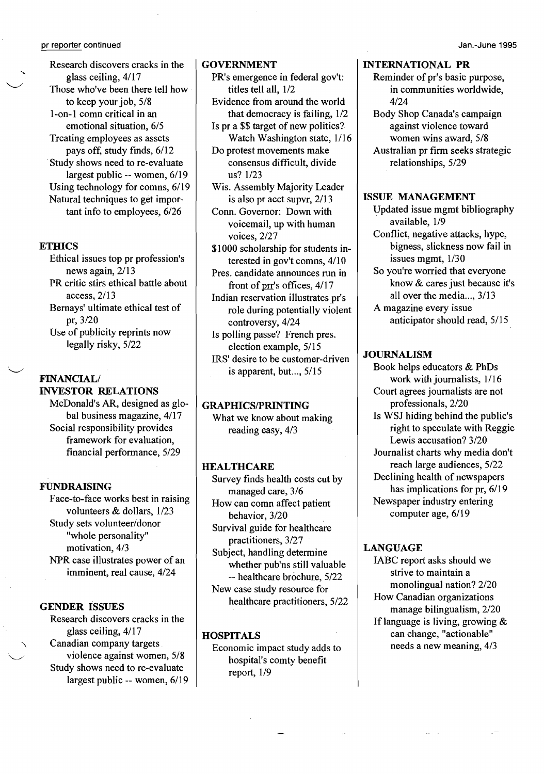Research discovers cracks in the glass ceiling,  $4/17$ Those who've been there tell how to keep your job, 5/8 1-on-1 comn critical in an emotional situation, 6/5 Treating employees as assets pays off, study finds, 6/12 .Study shows need to re-evaluate largest public -- women, 6/19 Using technology for comns, 6/19 Natural techniques to get important info to employees, 6/26

### **ETHICS**

.~

Ethical issues top pr profession's news again, 2/13 PR critic stirs ethical battle about access, 2/13 Bernays' ultimate ethical test of pr,3/20 Use of publicity reprints now legally risky, 5/22

# FINANCIAL/ INVESTOR RELATIONS

McDonald's AR, designed as global business magazine, 4/17 Social responsibility provides framework for evaluation, financial performance, 5/29

### FUNDRAISING

Face-to-face works best in raising volunteers & dollars, 1/23 Study sets volunteer/donor "whole personality" motivation, 4/3 NPR case illustrates power of an imminent, real cause, 4/24

### GENDER ISSUES

Research discovers cracks in the glass ceiling, 4/17 Canadian company targets<br>violence against women, 5/8 Study shows need to re-evaluate largest public -- women, 6/19

### GOVERNMENT

- PR's emergence in federal gov't: titles teII all, 1/2
- Evidence from around the world that democracy is failing, 1/2
- Is pr a \$\$ target of new politics? Watch Washington state, 1/16
- Do protest movements make consensus difficult, divide us? 1/23
- Wis. Assembly Majority Leader is also pr acct supvr, 2/13 Conn. Governor: Down with
- voicemail, up with human voices, 2/27
- \$1000 scholarship for students interested in gov't comns, 4/10
- Pres. candidate announces run in front of prr's offices,  $4/17$
- Indian reservation illustrates pr's role during potentially violent controversy, 4/24
- Is polling passe? French pres. election example, 5/15 IRS' desire to be customer-driven

is apparent, but..., 5/15

# GRAPHICS/PRINTING

What we know about making reading easy, 4/3

# **HEALTHCARE**

Survey finds health costs cut by managed care, 3/6 How can comn affect patient behavior, 3/20 Survival guide for healthcare practitioners, 3/27 Subject, handling determine whether pub'ns still valuable -- healthcare brochure, 5/22 New case study resource for healthcare practitioners, 5/22

### **HOSPITALS**

Economic impact study adds to hospital's comty benefit report, 1/9

# INTERNATIONAL PR

- Reminder of pr's basic purpose, in communities worldwide, 4/24
- Body Shop Canada's campaign against violence toward women wins award, 5/8 Australian pr firm seeks strategic relationships, 5/29

#### ISSUE MANAGEMENT

- Updated issue mgmt bibliography available, 1/9 Conflict, negative attacks, hype,
- bigness, slickness now fail in issues mgmt, 1/30 So you're worried that everyone
- know & cares just because it's all over the media..., 3/13
- A magazine every issue anticipator should read, 5/15

#### **JOURNALISM**

Book helps educators & PhDs work with journalists, 1/16 Court agrees journalists are not professionals, 2/20 Is WSJ hiding behind the public's right to speculate with Reggie Lewis accusation? 3/20 Journalist charts why media don't reach large audiences, 5/22 Declining health of newspapers has implications for pr, 6/19 Newspaper industry entering computer age, 6/19

### LANGUAGE

IABC report asks should we strive to maintain a monolingual nation? 2/20 How Canadian organizations manage bilingualism, 2/20 If language is living, growing  $\&$ can change, "actionable" needs a new meaning, 4/3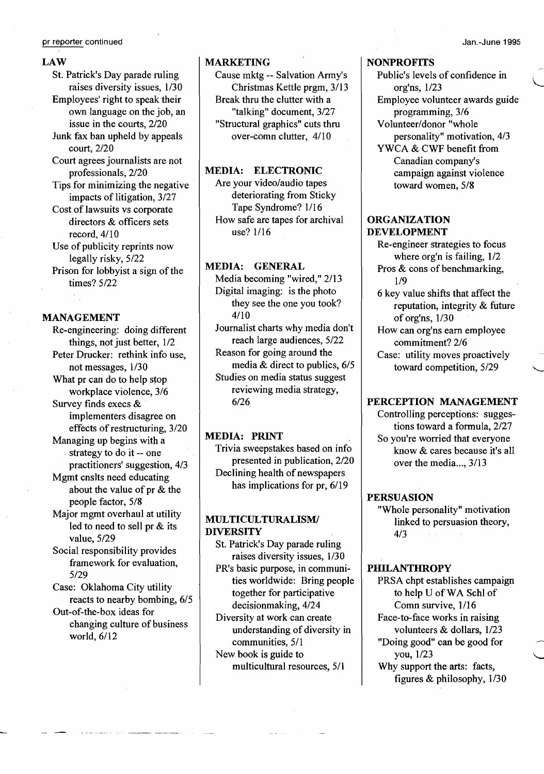#### LAW

St. Patrick's Day parade ruling raises diversity issues, 1/30 Employees' right to speak their own language on the job, an issue in the courts, 2/20 Junk fax ban upheld by appeals court, 2/20 Court agrees journalists are not professionals, 2/20 Tips for minimizing the negative impacts of litigation, 3/27 Cost of lawsuits vs corporate directors & officers sets record, 4/10 Use of publicity reprints now legally risky, 5/22 Prison for lobbyist a sign of the times? 5/22

#### MANAGEMENT

Re-engineering: doing different things, not just better, 1/2 Peter Drucker: rethink info use, not messages, 1/30 What pr can do to help stop workplace violence, 3/6 Survey finds execs & implementers disagree on

effects of restructuring, 3/20 Managing up begins with a

. strategy to do it -- one practitioners' suggestion, 4/3

Mgmt cnslts need educating about the value of pr & the people factor, 5/8

Major mgmt overhaul at utility led to need to sell pr & its value, 5/29

Social responsibility provides framework for evaluation, 5/29

Case: Oklahoma City utility reacts to nearby bombing, 6/5

Out-of-the-box ideas for changing culture of business world, 6/12

#### MARKETING

Cause mktg -- Salvation Army's Christmas Kettle prgm, 3/13 Break thru the clutter with a "talking" document, 3/27 "Structural graphics" cuts thru over-comn clutter, 4/10

# MEDIA: ELECTRONIC

Are your video/audio tapes deteriorating from Sticky Tape Syndrome? 1/16 How safe are tapes for archival use? 1/16

#### MEDIA: GENERAL

Media becoming "wired," 2/13 Digital imaging: is the photo they see the one you took? 4/10

Journalist charts why media don't reach large audiences, 5/22 Reason for going around the

media & direct to publics, 6/5 Studies on media status suggest reviewing media strategy, 6/26

## MEDIA: PRINT

Trivia sweepstakes based on info presented in publication, 2/20 Declining health of newspapers has implications for pr, 6/19

# MULTICULTURALISM! DIVERSITY

St. Patrick's Day parade ruling raises diversity issues, 1/30 PR's basic purpose, in communities worldwide: Bring people together for participative decisionmaking, 4/24 Diversity at work can create understanding of diversity in communities, 5/1 New book is guide to

multicultural resources, 5/1

# **NONPROFITS**

Public's levels of confidence in \.... org'ns, 1/23 Employee volunteer awards guide programming, 3/6 Volunteer/donor "whole personality" motivation, 4/3 YWCA & CWF benefit from Canadian company's campaign against violence toward women, 5/8

#### ORGANIZATION DEVELOPMENT

Re-engineer strategies to focus where org'n is failing, 1/2 Pros & cons of benchmarking, 1/9

6 key value shifts that affect the reputation, integrity & future of org'ns, 1/30

How can org'ns earn employee commitment? 2/6

Case: utility moves proactively toward competition, 5/29 "

# PERCEPTION MANAGEMENT

Controlling perceptions: suggestions toward a formula, 2/27 So you're worried that everyone know & cares because it's all over the media..., 3/13

#### PERSUASION

"Whole personality" motivation linked to persuasion theory, 4/3

# **PHILANTHROPY**

PRSA chpt establishes campaign to help U of WA Schl of Comn survive, 1/16 Face-to-face works in raising volunteers & dollars, 1/23 "Doing good" can be good for you,  $1/23$ 

Why support the arts: facts, figures & philosophy, 1/30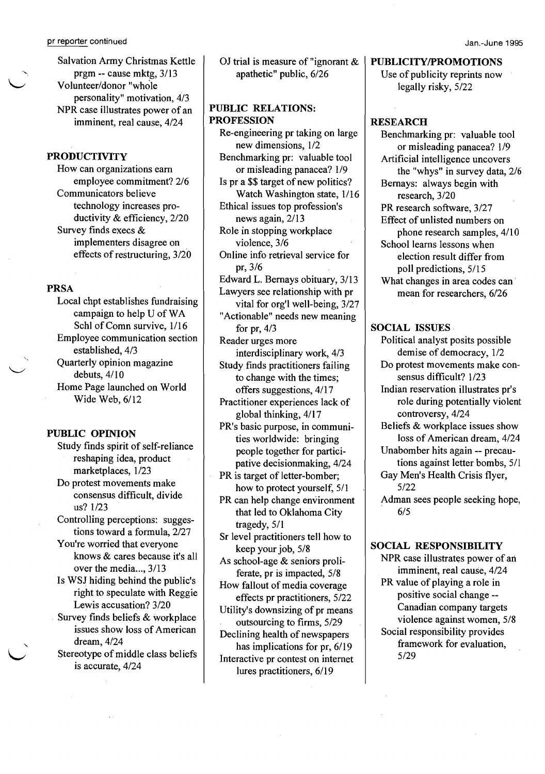Salvation Army Christmas Kettle<br>prgm -- cause mktg, 3/13 Volunteer/donor "whole personality" motivation, 4/3 NPR case illustrates power of an imminent, real cause, 4/24

# PRODUCTIVITY

How can organizations earn employee commitment? 2/6 Communicators believe technology increases productivity & efficiency, 2/20 Survey finds execs & implementers disagree on . effects of restructuring, 3/20

#### PRSA

Local chpt establishes fundraising campaign to help U ofWA Schl of Comn survive,  $1/16$ Employee communication section established, 4/3 Quarterly opinion magazine debuts,  $4/10$ Home Page launched on World Wide Web, 6/12

#### PUBLIC OPINION

Study finds spirit of self-reliance reshaping idea, product marketplaces, 1/23

Do protest movements make consensus difficult, divide us? 1/23

Controlling perceptions: suggestions toward a formula, 2/27

You're worried that everyone knows & cares because it's all over the media..., 3/13

Is WSJ hiding behind the public's right to speculate with Reggie Lewis accusation? 3/20

. Survey finds beliefs & workplace issues show loss of American dream,  $4/24$ 

Stereotype of middle class beliefs is accurate, 4/24

OJ trial is measure of "ignorant & apathetic" public, 6/26

# PUBLIC RELATIONS: PROFESSION

Re-engineering pr taking on large new dimensions, 1/2 Benchmarking pr: valuable tool or misleading panacea? 1/9 Is pr a \$\$ target of new politics? Watch Washington state, 1/16 Ethical issues top profession's news again, 2/13 Role in stopping workplace violence, 3/6 Online info retrieval service for pr,3/6 Edward L. Bernays obituary, 3/13 Lawyers see relationship with pr vital for org'l well-being, 3/27 "Actionable" needs new meaning for pr, 4/3 Reader urges more interdisciplinary work, 4/3 Study finds practitioners failing to change with the times; offers suggestions, 4/17 Practitioner experiences lack of global thinking, 4/17 PR's basic purpose, in communities worldwide: bringing people together for participative decisionmaking, 4/24 PR is target of letter-bomber; how to protect yourself, 5/1

PR can help change environment that led to Oklahoma City tragedy, 5/1

Sr level practitioners tell how to keep your job, 5/8

As school-age & seniors proliferate, pr is impacted, 5/8

How fallout of media coverage effects pr practitioners, 5/22

Utility's downsizing of pr means outsourcing to firms, 5/29

Declining health of newspapers has implications for pr, 6/19 Interactive pr contest on internet lures practitioners, 6/19

### PUBLICITY/PROMOTIONS

Use of publicity reprints now legally risky, 5/22

#### **RESEARCH**

Benchmarking pr: valuable tool or misleading panacea? 1/9 Artificial intelligence uncovers the "whys" in survey data, 2/6 Bernays: always begin with research,  $3/20$ PR research software, 3/27 Effect of unlisted numbers on phone research samples, 4/10 School learns lessons when election result differ from poll predictions, 5/15 What changes in area codes can mean for researchers, 6/26

#### SOCIAL ISSUES

Political analyst posits possible demise of democracy, 1/2 Do protest movements make consensus difficult? 1/23 Indian reservation illustrates pr's role during potentially violent controversy, 4/24 Beliefs & workplace issues show loss of American dream, 4/24 Unabomber hits again -- precautions against letter bombs, 5/1 Gay Men's Health Crisis flyer, 5/22

Adman sees people seeking hope, 6/5

# SOCIAL RESPONSIBILITY

NPR case illustrates power of an imminent, real cause, 4/24 PR value of playing a role in positive social change - Canadian company targets violence against women, 5/8 Social responsibility provides framework for evaluation, 5/29